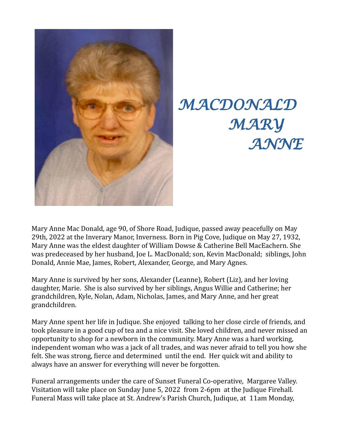

## *MACDONALD MARY ANNE*

Mary Anne Mac Donald, age 90, of Shore Road, Judique, passed away peacefully on May 29th, 2022 at the Inverary Manor, Inverness. Born in Pig Cove, Judique on May 27, 1932, Mary Anne was the eldest daughter of William Dowse & Catherine Bell MacEachern. She was predeceased by her husband, Joe L. MacDonald; son, Kevin MacDonald; siblings, John Donald, Annie Mae, James, Robert, Alexander, George, and Mary Agnes.

Mary Anne is survived by her sons, Alexander (Leanne), Robert (Liz), and her loving daughter, Marie. She is also survived by her siblings, Angus Willie and Catherine; her grandchildren, Kyle, Nolan, Adam, Nicholas, James, and Mary Anne, and her great grandchildren.

Mary Anne spent her life in Judique. She enjoyed talking to her close circle of friends, and took pleasure in a good cup of tea and a nice visit. She loved children, and never missed an opportunity to shop for a newborn in the community. Mary Anne was a hard working, independent woman who was a jack of all trades, and was never afraid to tell you how she felt. She was strong, fierce and determined until the end. Her quick wit and ability to always have an answer for everything will never be forgotten.

Funeral arrangements under the care of Sunset Funeral Co-operative, Margaree Valley. Visitation will take place on Sunday June 5, 2022 from 2-6pm at the Judique Firehall. Funeral Mass will take place at St. Andrew's Parish Church, Judique, at 11am Monday,